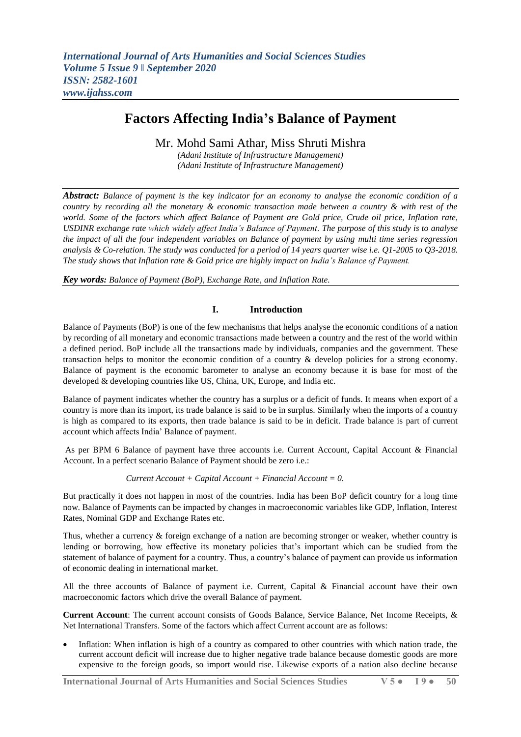# **Factors Affecting India's Balance of Payment**

Mr. Mohd Sami Athar, Miss Shruti Mishra

*(Adani Institute of Infrastructure Management) (Adani Institute of Infrastructure Management)*

*Abstract: Balance of payment is the key indicator for an economy to analyse the economic condition of a country by recording all the monetary & economic transaction made between a country & with rest of the world. Some of the factors which affect Balance of Payment are Gold price, Crude oil price, Inflation rate, USDINR exchange rate which widely affect India's Balance of Payment. The purpose of this study is to analyse the impact of all the four independent variables on Balance of payment by using multi time series regression analysis & Co-relation. The study was conducted for a period of 14 years quarter wise i.e. Q1-2005 to Q3-2018. The study shows that Inflation rate & Gold price are highly impact on India's Balance of Payment.*

*Key words: Balance of Payment (BoP), Exchange Rate, and Inflation Rate.*

### **I. Introduction**

Balance of Payments (BoP) is one of the few mechanisms that helps analyse the economic conditions of a nation by recording of all monetary and economic transactions made between a country and the rest of the world within a defined period. BoP include all the transactions made by individuals, companies and the government. These transaction helps to monitor the economic condition of a country & develop policies for a strong economy. Balance of payment is the economic barometer to analyse an economy because it is base for most of the developed & developing countries like US, China, UK, Europe, and India etc.

Balance of payment indicates whether the country has a surplus or a deficit of funds. It means when export of a country is more than its import, its trade balance is said to be in surplus. Similarly when the imports of a country is high as compared to its exports, then trade balance is said to be in deficit. Trade balance is part of current account which affects India' Balance of payment.

As per BPM 6 Balance of payment have three accounts i.e. Current Account, Capital Account & Financial Account. In a perfect scenario Balance of Payment should be zero i.e.:

*Current Account + Capital Account + Financial Account = 0.*

But practically it does not happen in most of the countries. India has been BoP deficit country for a long time now. Balance of Payments can be impacted by changes in macroeconomic variables like GDP, Inflation, Interest Rates, Nominal GDP and Exchange Rates etc.

Thus, whether a currency & foreign exchange of a nation are becoming stronger or weaker, whether country is lending or borrowing, how effective its monetary policies that's important which can be studied from the statement of balance of payment for a country. Thus, a country's balance of payment can provide us information of economic dealing in international market.

All the three accounts of Balance of payment i.e. Current, Capital & Financial account have their own macroeconomic factors which drive the overall Balance of payment.

**Current Account**: The current account consists of Goods Balance, Service Balance, Net Income Receipts, & Net International Transfers. Some of the factors which affect Current account are as follows:

 Inflation: When inflation is high of a country as compared to other countries with which nation trade, the current account deficit will increase due to higher negative trade balance because domestic goods are more expensive to the foreign goods, so import would rise. Likewise exports of a nation also decline because

**International Journal of Arts Humanities and Social Sciences Studies V 5 ● I 9 ● 50**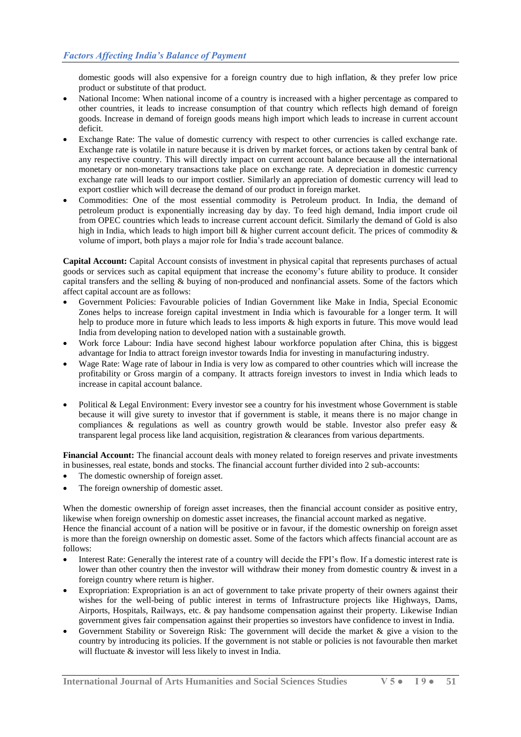domestic goods will also expensive for a foreign country due to high inflation, & they prefer low price product or substitute of that product.

- National Income: When national income of a country is increased with a higher percentage as compared to other countries, it leads to increase consumption of that country which reflects high demand of foreign goods. Increase in demand of foreign goods means high import which leads to increase in current account deficit.
- Exchange Rate: The value of domestic currency with respect to other currencies is called exchange rate. Exchange rate is volatile in nature because it is driven by market forces, or actions taken by central bank of any respective country. This will directly impact on current account balance because all the international monetary or non-monetary transactions take place on exchange rate. A depreciation in domestic currency exchange rate will leads to our import costlier. Similarly an appreciation of domestic currency will lead to export costlier which will decrease the demand of our product in foreign market.
- Commodities: One of the most essential commodity is Petroleum product. In India, the demand of petroleum product is exponentially increasing day by day. To feed high demand, India import crude oil from OPEC countries which leads to increase current account deficit. Similarly the demand of Gold is also high in India, which leads to high import bill & higher current account deficit. The prices of commodity & volume of import, both plays a major role for India's trade account balance.

**Capital Account:** Capital Account consists of investment in physical capital that represents purchases of actual goods or services such as capital equipment that increase the economy's future ability to produce. It consider capital transfers and the selling & buying of non-produced and nonfinancial assets. Some of the factors which affect capital account are as follows:

- Government Policies: Favourable policies of Indian Government like Make in India, Special Economic Zones helps to increase foreign capital investment in India which is favourable for a longer term. It will help to produce more in future which leads to less imports & high exports in future. This move would lead India from developing nation to developed nation with a sustainable growth.
- Work force Labour: India have second highest labour workforce population after China, this is biggest advantage for India to attract foreign investor towards India for investing in manufacturing industry.
- Wage Rate: Wage rate of labour in India is very low as compared to other countries which will increase the profitability or Gross margin of a company. It attracts foreign investors to invest in India which leads to increase in capital account balance.
- Political & Legal Environment: Every investor see a country for his investment whose Government is stable because it will give surety to investor that if government is stable, it means there is no major change in compliances & regulations as well as country growth would be stable. Investor also prefer easy & transparent legal process like land acquisition, registration & clearances from various departments.

**Financial Account:** The financial account deals with money related to foreign reserves and private investments in businesses, real estate, bonds and stocks. The financial account further divided into 2 sub-accounts:

- The domestic ownership of foreign asset.
- The foreign ownership of domestic asset.

When the domestic ownership of foreign asset increases, then the financial account consider as positive entry, likewise when foreign ownership on domestic asset increases, the financial account marked as negative.

Hence the financial account of a nation will be positive or in favour, if the domestic ownership on foreign asset is more than the foreign ownership on domestic asset. Some of the factors which affects financial account are as follows:

- Interest Rate: Generally the interest rate of a country will decide the FPI's flow. If a domestic interest rate is lower than other country then the investor will withdraw their money from domestic country  $\&$  invest in a foreign country where return is higher.
- Expropriation: Expropriation is an act of government to take private property of their owners against their wishes for the well-being of public interest in terms of Infrastructure projects like Highways, Dams, Airports, Hospitals, Railways, etc. & pay handsome compensation against their property. Likewise Indian government gives fair compensation against their properties so investors have confidence to invest in India.
- Government Stability or Sovereign Risk: The government will decide the market & give a vision to the country by introducing its policies. If the government is not stable or policies is not favourable then market will fluctuate  $\&$  investor will less likely to invest in India.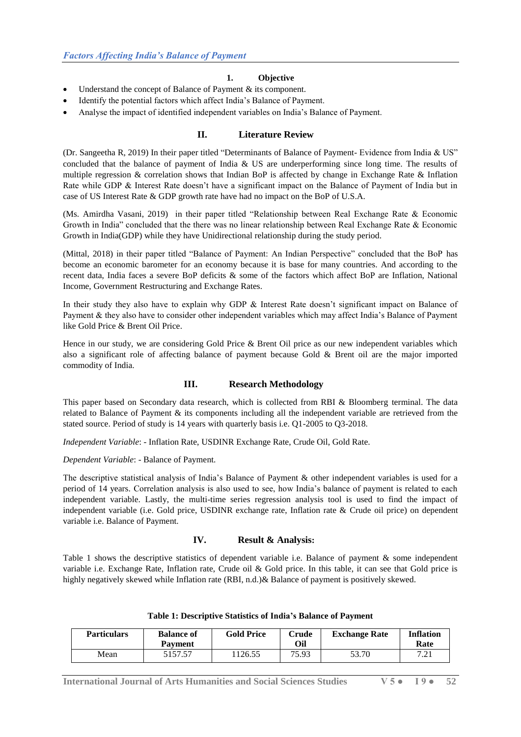# **1. Objective**

- Understand the concept of Balance of Payment & its component.
- Identify the potential factors which affect India's Balance of Payment.
- Analyse the impact of identified independent variables on India's Balance of Payment.

# **II. Literature Review**

(Dr. Sangeetha R, 2019) In their paper titled "Determinants of Balance of Payment- Evidence from India & US" concluded that the balance of payment of India & US are underperforming since long time. The results of multiple regression & correlation shows that Indian BoP is affected by change in Exchange Rate & Inflation Rate while GDP & Interest Rate doesn't have a significant impact on the Balance of Payment of India but in case of US Interest Rate & GDP growth rate have had no impact on the BoP of U.S.A.

(Ms. Amirdha Vasani, 2019) in their paper titled "Relationship between Real Exchange Rate & Economic Growth in India" concluded that the there was no linear relationship between Real Exchange Rate & Economic Growth in India(GDP) while they have Unidirectional relationship during the study period.

(Mittal, 2018) in their paper titled "Balance of Payment: An Indian Perspective" concluded that the BoP has become an economic barometer for an economy because it is base for many countries. And according to the recent data, India faces a severe BoP deficits & some of the factors which affect BoP are Inflation, National Income, Government Restructuring and Exchange Rates.

In their study they also have to explain why GDP & Interest Rate doesn't significant impact on Balance of Payment & they also have to consider other independent variables which may affect India's Balance of Payment like Gold Price & Brent Oil Price.

Hence in our study, we are considering Gold Price & Brent Oil price as our new independent variables which also a significant role of affecting balance of payment because Gold & Brent oil are the major imported commodity of India.

### **III. Research Methodology**

This paper based on Secondary data research, which is collected from RBI & Bloomberg terminal. The data related to Balance of Payment & its components including all the independent variable are retrieved from the stated source. Period of study is 14 years with quarterly basis i.e. Q1-2005 to Q3-2018.

*Independent Variable*: - Inflation Rate, USDINR Exchange Rate, Crude Oil, Gold Rate.

*Dependent Variable*: - Balance of Payment.

The descriptive statistical analysis of India's Balance of Payment & other independent variables is used for a period of 14 years. Correlation analysis is also used to see, how India's balance of payment is related to each independent variable. Lastly, the multi-time series regression analysis tool is used to find the impact of independent variable (i.e. Gold price, USDINR exchange rate, Inflation rate & Crude oil price) on dependent variable i.e. Balance of Payment.

### **IV. Result & Analysis:**

Table 1 shows the descriptive statistics of dependent variable i.e. Balance of payment & some independent variable i.e. Exchange Rate, Inflation rate, Crude oil & Gold price. In this table, it can see that Gold price is highly negatively skewed while Inflation rate (RBI, n.d.)& Balance of payment is positively skewed.

| <b>Particulars</b> | <b>Balance of</b><br><b>Payment</b> | <b>Gold Price</b> | Crude<br>Oil | <b>Exchange Rate</b> | <b>Inflation</b><br>Rate |
|--------------------|-------------------------------------|-------------------|--------------|----------------------|--------------------------|
| Mean               | 5157.57                             | 1126.55           | 75.93        | 53.70                | 7.21                     |

### **Table 1: Descriptive Statistics of India's Balance of Payment**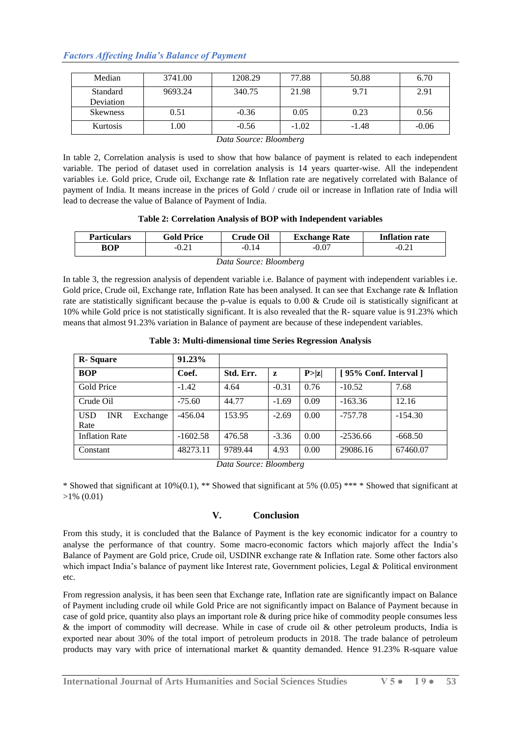# *Factors Affecting India's Balance of Payment*

| Median          | 3741.00 | 1208.29 | 77.88   | 50.88   | 6.70    |
|-----------------|---------|---------|---------|---------|---------|
| Standard        | 9693.24 | 340.75  | 21.98   | 9.71    | 2.91    |
| Deviation       |         |         |         |         |         |
| <b>Skewness</b> | 0.51    | $-0.36$ | 0.05    | 0.23    | 0.56    |
| Kurtosis        | l.00    | $-0.56$ | $-1.02$ | $-1.48$ | $-0.06$ |

#### *Data Source: Bloomberg*

In table 2, Correlation analysis is used to show that how balance of payment is related to each independent variable. The period of dataset used in correlation analysis is 14 years quarter-wise. All the independent variables i.e. Gold price, Crude oil, Exchange rate & Inflation rate are negatively correlated with Balance of payment of India. It means increase in the prices of Gold / crude oil or increase in Inflation rate of India will lead to decrease the value of Balance of Payment of India.

### **Table 2: Correlation Analysis of BOP with Independent variables**

| <b>Particulars</b>     | <b>Gold Price</b> | <b>Crude Oil</b> | <b>Exchange Rate</b> | <b>Inflation rate</b> |  |
|------------------------|-------------------|------------------|----------------------|-----------------------|--|
| <b>BOP</b>             | $-0.21$           | $-0.14$          | $-0.07$              | $-0.21$               |  |
| Data Source: Bloomberg |                   |                  |                      |                       |  |

In table 3, the regression analysis of dependent variable i.e. Balance of payment with independent variables i.e. Gold price, Crude oil, Exchange rate, Inflation Rate has been analysed. It can see that Exchange rate & Inflation rate are statistically significant because the p-value is equals to 0.00 & Crude oil is statistically significant at 10% while Gold price is not statistically significant. It is also revealed that the R- square value is 91.23% which means that almost 91.23% variation in Balance of payment are because of these independent variables.

**Table 3: Multi-dimensional time Series Regression Analysis**

| <b>R</b> -Square                             | 91.23%     |                                  |         |        |                      |           |
|----------------------------------------------|------------|----------------------------------|---------|--------|----------------------|-----------|
| <b>BOP</b>                                   | Coef.      | Std. Err.                        | Z       | P >  z | [95% Conf. Interval] |           |
| Gold Price                                   | $-1.42$    | 4.64                             | $-0.31$ | 0.76   | $-10.52$             | 7.68      |
| Crude Oil                                    | $-75.60$   | 44.77                            | $-1.69$ | 0.09   | $-163.36$            | 12.16     |
| <b>INR</b><br><b>USD</b><br>Exchange<br>Rate | $-456.04$  | 153.95                           | $-2.69$ | 0.00   | $-757.78$            | $-154.30$ |
| <b>Inflation Rate</b>                        | $-1602.58$ | 476.58                           | $-3.36$ | 0.00   | $-2536.66$           | $-668.50$ |
| Constant                                     | 48273.11   | 9789.44<br>Data Course Dloomborg | 4.93    | 0.00   | 29086.16             | 67460.07  |

*Data Source: Bloomberg*

\* Showed that significant at  $10\%(0.1)$ , \*\* Showed that significant at  $5\%$  (0.05) \*\*\* \* Showed that significant at >1% (0.01)

# **V. Conclusion**

From this study, it is concluded that the Balance of Payment is the key economic indicator for a country to analyse the performance of that country. Some macro-economic factors which majorly affect the India's Balance of Payment are Gold price, Crude oil, USDINR exchange rate & Inflation rate. Some other factors also which impact India's balance of payment like Interest rate, Government policies, Legal & Political environment etc.

From regression analysis, it has been seen that Exchange rate, Inflation rate are significantly impact on Balance of Payment including crude oil while Gold Price are not significantly impact on Balance of Payment because in case of gold price, quantity also plays an important role & during price hike of commodity people consumes less & the import of commodity will decrease. While in case of crude oil & other petroleum products, India is exported near about 30% of the total import of petroleum products in 2018. The trade balance of petroleum products may vary with price of international market & quantity demanded. Hence 91.23% R-square value